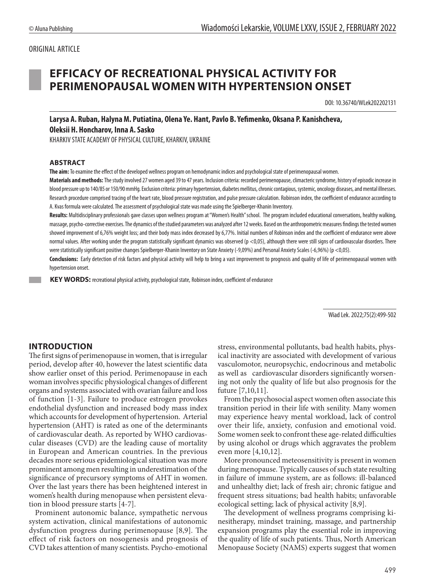### ORIGINAL ARTICLE

# **EFFICACY OF RECREATIONAL PHYSICAL ACTIVITY FOR PERIMENOPAUSAL WOMEN WITH HYPERTENSION ONSET**

DOI: 10.36740/WLek202202131

**Larysa A. Ruban, Halyna M. Putiatina, Olena Ye. Hant, Pavlo B. Yefimenko, Oksana P. Kanishcheva, Oleksii H. Honcharov, Inna A. Sasko**

KHARKIV STATE ACADEMY OF PHYSICAL CULTURE, KHARKIV, UKRAINE

#### **ABSTRACT**

**The aim:** To examine the effect of the developed wellness program on hemodynamic indices and psychological state of perimenopausal women.

**Materials and methods:** The study involved 27 women aged 39 to 47 years. Inclusion criteria: recorded perimenopause, climacteric syndrome, history of episodic increase in blood pressure up to 140/85 or 150/90 mmHg. Exclusion criteria: primary hypertension, diabetes mellitus, chronic contagious, systemic, oncology diseases, and mental illnesses. Research procedure comprised tracing of the heart rate, blood pressure registration, and pulse pressure calculation. Robinson index, the coefficient of endurance according to A. Kvas formula were calculated. The assessment of psychological state was made using the Spielberger-Khanin Inventory.

**Results:** Multidisciplinary professionals gave classes upon wellness program at "Women's Health" school. The program included educational conversations, healthy walking, massage, psycho-corrective exercises. The dynamics of the studied parameters was analyzed after 12 weeks. Based on the anthropometric measures findings the tested women showed improvement of 6,76% weight loss; and their body mass index decreased by 6,77%. Initial numbers of Robinson index and the coefficient of endurance were above normal values. After working under the program statistically significant dynamics was observed (p <0,05), although there were still signs of cardiovascular disorders. There were statistically significant positive changes Spielberger-Khanin Inventory on State Anxiety (-9,09%) and Personal Anxiety Scales (-6,96%) (p <0,05).

**Conclusions:** Early detection of risk factors and physical activity will help to bring a vast improvement to prognosis and quality of life of perimenopausal women with hypertension onset.

**KEY WORDS:** recreational physical activity, psychological state, Robinson index, coefficient of endurance

Wiad Lek. 2022;75(2):499-502

### **INTRODUCTION**

The first signs of perimenopause in women, that is irregular period, develop after 40, however the latest scientific data show earlier onset of this period. Perimenopause in each woman involves specific physiological changes of different organs and systems associated with ovarian failure and loss of function [1-3]. Failure to produce estrogen provokes endothelial dysfunction and increased body mass index which accounts for development of hypertension. Arterial hypertension (AHT) is rated as one of the determinants of cardiovascular death. As reported by WHO cardiovascular diseases (CVD) are the leading cause of mortality in European and American countries. In the previous decades more serious epidemiological situation was more prominent among men resulting in underestimation of the significance of precursory symptoms of AHT in women. Over the last years there has been heightened interest in women's health during menopause when persistent elevation in blood pressure starts [4-7].

Prominent autonomic balance, sympathetic nervous system activation, clinical manifestations of autonomic dysfunction progress during perimenopause [8,9]. The effect of risk factors on nosogenesis and prognosis of CVD takes attention of many scientists. Psycho-emotional stress, environmental pollutants, bad health habits, physical inactivity are associated with development of various vasculomotor, neuropsychic, endocrinous and metabolic as well as cardiovascular disorders significantly worsening not only the quality of life but also prognosis for the future [7,10,11].

From the psychosocial aspect women often associate this transition period in their life with senility. Many women may experience heavy mental workload, lack of control over their life, anxiety, confusion and emotional void. Some women seek to confront these age-related difficulties by using alcohol or drugs which aggravates the problem even more [4,10,12].

More pronounced meteosensitivity is present in women during menopause. Typically causes of such state resulting in failure of immune system, are as follows: ill-balanced and unhealthy diet; lack of fresh air; chronic fatigue and frequent stress situations; bad health habits; unfavorable ecological setting; lack of physical activity [8,9].

The development of wellness programs comprising kinesitherapy, mindset training, massage, and partnership expansion programs play the essential role in improving the quality of life of such patients. Thus, North American Menopause Society (NAMS) experts suggest that women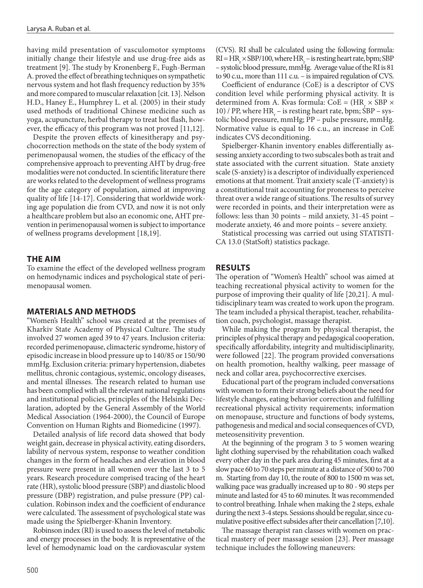having mild presentation of vasculomotor symptoms initially change their lifestyle and use drug-free aids as treatment [9]. The study by Kronenberg F., Fugh-Berman A. proved the effect of breathing techniques on sympathetic nervous system and hot flash frequency reduction by 35% and more compared to muscular relaxation [cit. 13]. Nelson H.D., Haney E., Humphrey L. et al. (2005) in their study used methods of traditional Chinese medicine such as yoga, acupuncture, herbal therapy to treat hot flash, however, the efficacy of this program was not proved [11,12].

Despite the proven effects of kinesitherapy and psychocorrection methods on the state of the body system of perimenopausal women, the studies of the efficacy of the comprehensive approach to preventing AHT by drug-free modalities were not conducted. In scientific literature there are works related to the development of wellness programs for the age category of population, aimed at improving quality of life [14-17]. Considering that worldwide working age population die from CVD, and now it is not only a healthcare problem but also an economic one, AHT prevention in perimenopausal women is subject to importance of wellness programs development [18,19].

### **THE AIM**

To examine the effect of the developed wellness program on hemodynamic indices and psychological state of perimenopausal women.

### **MATERIALS AND METHODS**

"Women's Health" school was created at the premises of Kharkiv State Academy of Physical Culture. The study involved 27 women aged 39 to 47 years. Inclusion criteria: recorded perimenopause, climacteric syndrome, history of episodic increase in blood pressure up to 140/85 or 150/90 mmHg. Exclusion criteria: primary hypertension, diabetes mellitus, chronic contagious, systemic, oncology diseases, and mental illnesses. The research related to human use has been complied with all the relevant national regulations and institutional policies, principles of the Helsinki Declaration, adopted by the General Assembly of the World Medical Association (1964-2000), the Council of Europe Convention on Human Rights and Biomedicine (1997).

Detailed analysis of life record data showed that body weight gain, decrease in physical activity, eating disorders, lability of nervous system, response to weather condition changes in the form of headaches and elevation in blood pressure were present in all women over the last 3 to 5 years. Research procedure comprised tracing of the heart rate (HR), systolic blood pressure (SBP) and diastolic blood pressure (DBP) registration, and pulse pressure (PP) calculation. Robinson index and the coefficient of endurance were calculated. The assessment of psychological state was made using the Spielberger-Khanin Inventory.

Robinson index (RI) is used to assess the level of metabolic and energy processes in the body. It is representative of the level of hemodynamic load on the cardiovascular system (CVS). RI shall be calculated using the following formula:  $RI = HR_r \times SBP/100$ , where  $HR_r$  – is resting heart rate, bpm; SBP – systolic blood pressure, mmHg. Average value of the RI is 81 to 90 c.u., more than 111 c.u. – is impaired regulation of CVS.

Coefficient of endurance (CoE) is a descriptor of CVS condition level while performing physical activity. It is determined from A. Kvas formula:  $CoE = (HR_{\times} \times SBP \times$ 10) / PP, where  $HR_r$  – is resting heart rate, bpm; SBP – systolic blood pressure, mmHg; PP – pulse pressure, mmHg. Normative value is equal to 16 c.u., an increase in CoE indicates CVS deconditioning.

Spielberger-Khanin inventory enables differentially assessing anxiety according to two subscales both as trait and state associated with the current situation. State anxiety scale (S-anxiety) is a descriptor of individually experienced emotions at that moment. Trait anxiety scale (T-anxiety) is a constitutional trait accounting for proneness to perceive threat over a wide range of situations. The results of survey were recorded in points, and their interpretation were as follows: less than 30 points – mild anxiety, 31-45 point – moderate anxiety, 46 and more points – severe anxiety.

Statistical processing was carried out using STATISTI-CA 13.0 (StatSoft) statistics package.

### **RESULTS**

The operation of "Women's Health" school was aimed at teaching recreational physical activity to women for the purpose of improving their quality of life [20,21]. A multidisciplinary team was created to work upon the program. The team included a physical therapist, teacher, rehabilitation coach, psychologist, massage therapist.

While making the program by physical therapist, the principles of physical therapy and pedagogical cooperation, specifically affordability, integrity and multidisciplinarity, were followed [22]. The program provided conversations on health promotion, healthy walking, peer massage of neck and collar area, psychocorrective exercises.

Educational part of the program included conversations with women to form their strong beliefs about the need for lifestyle changes, eating behavior correction and fulfilling recreational physical activity requirements; information on menopause, structure and functions of body systems, pathogenesis and medical and social consequences of CVD, meteosensitivity prevention.

At the beginning of the program 3 to 5 women wearing light clothing supervised by the rehabilitation coach walked every other day in the park area during 45 minutes, first at a slow pace 60 to 70 steps per minute at a distance of 500 to 700 m. Starting from day 10, the route of 800 to 1500 m was set, walking pace was gradually increased up to 80 - 90 steps per minute and lasted for 45 to 60 minutes. It was recommended to control breathing. Inhale when making the 2 steps, exhale during the next 3-4 steps. Sessions should be regular, since cumulative positive effect subsides after their cancellation [7,10].

The massage therapist ran classes with women on practical mastery of peer massage session [23]. Peer massage technique includes the following maneuvers: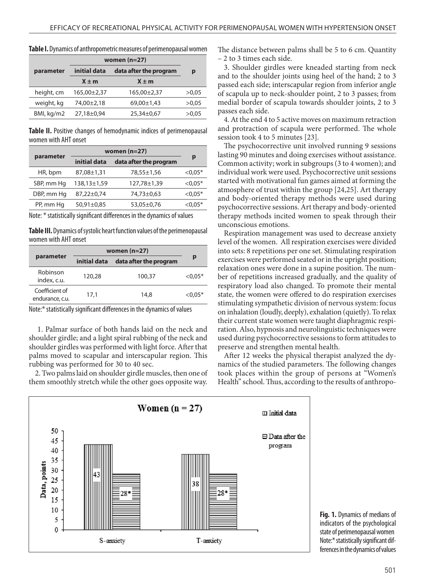|            | women $(n=27)$ |                        |       |
|------------|----------------|------------------------|-------|
| parameter  | initial data   | data after the program | р     |
|            | $X \pm m$      | $X \pm m$              |       |
| height, cm | 165,00±2,37    | 165,00±2,37            | >0.05 |
| weight, kg | 74,00±2,18     | 69,00±1,43             | >0.05 |
| BMI, kg/m2 | 27,18±0,94     | 25,34±0,67             | >0.05 |

**Table I.** Dynamics of anthropometric measures of perimenopausal women

**Table II.** Positive changes of hemodynamic indices of perimenopausal women with AHT onset

| parameter  | women $(n=27)$ |                        |            |
|------------|----------------|------------------------|------------|
|            | initial data   | data after the program | p          |
| HR, bpm    | 87,08±1,31     | 78,55±1,56             | $< 0.05*$  |
| SBP, mm Hg | 138,13±1,59    | 127,78±1,39            | $< 0.05*$  |
| DBP, mm Hg | 87,22±0,74     | 74,73±0,63             | $< 0.05*$  |
| PP, mm Hg  | 50,91±0,85     | 53,05±0,76             | ${<}0.05*$ |

Note: \* statistically significant differences in the dynamics of values

**Table III.** Dynamics of systolic heart function values of the perimenopausal women with AHT onset

| parameter                         | women $(n=27)$ |                        |            |
|-----------------------------------|----------------|------------------------|------------|
|                                   | initial data   | data after the program | р          |
| Robinson<br>index, c.u.           | 120,28         | 100.37                 | ${<}0.05*$ |
| Coefficient of<br>endurance, c.u. | 17.1           | 14.8                   | ${<}0.05*$ |

Note:\* statistically significant differences in the dynamics of values

 1. Palmar surface of both hands laid on the neck and shoulder girdle; and a light spiral rubbing of the neck and shoulder girdles was performed with light force. After that palms moved to scapular and interscapular region. This rubbing was performed for 30 to 40 sec.

2. Two palms laid on shoulder girdle muscles, then one of them smoothly stretch while the other goes opposite way. The distance between palms shall be 5 to 6 cm. Quantity – 2 to 3 times each side.

3. Shoulder girdles were kneaded starting from neck and to the shoulder joints using heel of the hand; 2 to 3 passed each side; interscapular region from inferior angle of scapula up to neck-shoulder point, 2 to 3 passes; from medial border of scapula towards shoulder joints, 2 to 3 passes each side.

4. At the end 4 to 5 active moves on maximum retraction and protraction of scapula were performed. The whole session took 4 to 5 minutes [23].

The psychocorrective unit involved running 9 sessions lasting 90 minutes and doing exercises without assistance. Common activity; work in subgroups (3 to 4 women); and individual work were used. Psychocorrective unit sessions started with motivational fun games aimed at forming the atmosphere of trust within the group [24,25]. Art therapy and body-oriented therapy methods were used during psychocorrective sessions. Art therapy and body-oriented therapy methods incited women to speak through their unconscious emotions.

Respiration management was used to decrease anxiety level of the women. All respiration exercises were divided into sets: 8 repetitions per one set. Stimulating respiration exercises were performed seated or in the upright position; relaxation ones were done in a supine position. The number of repetitions increased gradually, and the quality of respiratory load also changed. To promote their mental state, the women were offered to do respiration exercises stimulating sympathetic division of nervous system: focus on inhalation (loudly, deeply), exhalation (quietly). To relax their current state women were taught diaphragmic respiration. Also, hypnosis and neurolinguistic techniques were used during psychocorrective sessions to form attitudes to preserve and strengthen mental health.

After 12 weeks the physical therapist analyzed the dynamics of the studied parameters. The following changes took places within the group of persons at "Women's Health" school. Thus, according to the results of anthropo-



**Fig. 1.** Dynamics of medians of indicators of the psychological state of perimenopausal women Note:\* statistically significant differences in the dynamics of values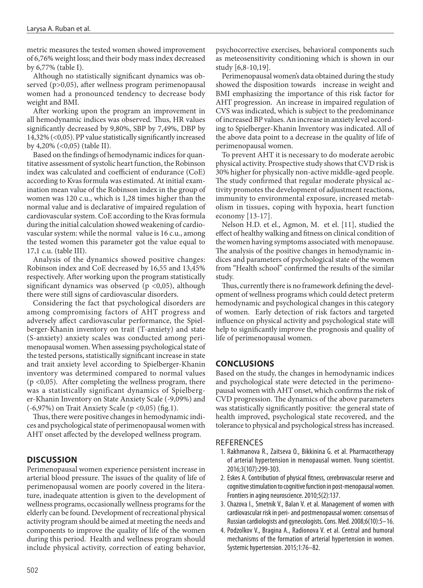metric measures the tested women showed improvement of 6,76% weight loss; and their body mass index decreased by 6,77% (table I).

Although no statistically significant dynamics was observed (p>0,05), after wellness program perimenopausal women had a pronounced tendency to decrease body weight and BMI.

After working upon the program an improvement in all hemodynamic indices was observed. Thus, HR values significantly decreased by 9,80%, SBP by 7,49%, DBP by 14,32% (<0,05). PP value statistically significantly increased by 4,20% (<0,05) (table II).

Based on the findings of hemodynamic indices for quantitative assessment of systolic heart function, the Robinson index was calculated and coefficient of endurance (CoE) according to Kvas formula was estimated. At initial examination mean value of the Robinson index in the group of women was 120 c.u., which is 1,28 times higher than the normal value and is declarative of impaired regulation of cardiovascular system. CoE according to the Kvas formula during the initial calculation showed weakening of cardiovascular system: while the normal value is 16 c.u., among the tested women this parameter got the value equal to 17,1 c.u. (table III).

Analysis of the dynamics showed positive changes: Robinson index and CoE decreased by 16,55 and 13,45% respectively. After working upon the program statistically significant dynamics was observed ( $p \lt 0.05$ ), although there were still signs of cardiovascular disorders.

Considering the fact that psychological disorders are among compromising factors of AHT progress and adversely affect cardiovascular performance, the Spielberger-Khanin inventory on trait (T-anxiety) and state (S-anxiety) anxiety scales was conducted among perimenopausal women. When assessing psychological state of the tested persons, statistically significant increase in state and trait anxiety level according to Spielberger-Khanin inventory was determined compared to normal values  $(p \lt 0.05)$ . After completing the wellness program, there was a statistically significant dynamics of Spielberger-Khanin Inventory on State Anxiety Scale (-9,09%) and  $(-6,97%)$  on Trait Anxiety Scale (p <0,05) (fig.1).

Thus, there were positive changes in hemodynamic indices and psychological state of perimenopausal women with AHT onset affected by the developed wellness program.

## **DISCUSSION**

Perimenopausal women experience persistent increase in arterial blood pressure. The issues of the quality of life of perimenopausal women are poorly covered in the literature, inadequate attention is given to the development of wellness programs, occasionally wellness programs for the elderly can be found. Development of recreational physical activity program should be aimed at meeting the needs and components to improve the quality of life of the women during this period. Health and wellness program should include physical activity, correction of eating behavior,

psychocorrective exercises, behavioral components such as meteosensitivity conditioning which is shown in our study [6,8-10,19].

Perimenopausal women's data obtained during the study showed the disposition towards increase in weight and BMI emphasizing the importance of this risk factor for AHT progression. An increase in impaired regulation of CVS was indicated, which is subject to the predominance of increased BP values. An increase in anxiety level according to Spielberger-Khanin Inventory was indicated. All of the above data point to a decrease in the quality of life of perimenopausal women.

To prevent AHT it is necessary to do moderate aerobic physical activity. Prospective study shows that CVD risk is 30% higher for physically non-active middle-aged people. The study confirmed that regular moderate physical activity promotes the development of adjustment reactions, immunity to environmental exposure, increased metabolism in tissues, coping with hypoxia, heart function economy [13-17].

Nelson H.D. еt el., Agmon, M. еt el. [11], studied the effect of healthy walking and fitness on clinical condition of the women having symptoms associated with menopause. The analysis of the positive changes in hemodynamic indices and parameters of psychological state of the women from "Health school" confirmed the results of the similar study.

Thus, currently there is no framework defining the development of wellness programs which could detect preterm hemodynamic and psychological changes in this category of women. Early detection of risk factors and targeted influence on physical activity and psychological state will help to significantly improve the prognosis and quality of life of perimenopausal women.

## **CONCLUSIONS**

Based on the study, the changes in hemodynamic indices and psychological state were detected in the perimenopausal women with AHT onset, which confirms the risk of CVD progression. The dynamics of the above parameters was statistically significantly positive: the general state of health improved, psychological state recovered, and the tolerance to physical and psychological stress has increased.

### **REFERENCES**

- 1. Rakhmanova R., Zaitseva O., Bikkinina G. et al. Pharmacotherapy of arterial hypertension in menopausal women. Young scientist. 2016;3(107):299-303.
- 2. Eskes A. Contribution of physical fitness, cerebrovascular reserve and cognitive stimulation to cognitive function in post-menopausal women. Frontiers in aging neuroscience. 2010;5(2):137.
- 3. Chazova I., Smetnik V., Balan V. et al. Management of women with cardiovascular risk in peri- and postmenopausal women: consensus of Russian cardiologists and gynecologists. Cons. Med. 2008;6(10):5–16.
- 4. Podzolkov V., Bragina A., Radionova V. et al. Central and humoral mechanisms of the formation of arterial hypertension in women. Systemic hypertension. 2015;1:76–82.